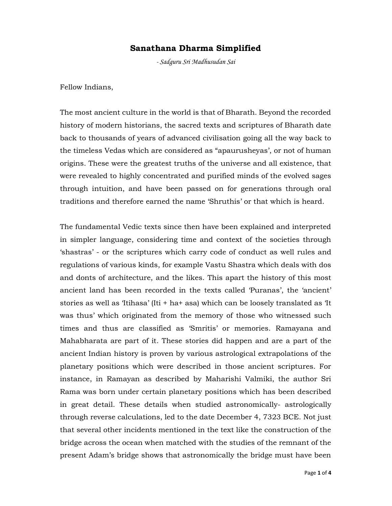## Sanathana Dharma Simplified

- Sadguru Sri Madhusudan Sai

Fellow Indians,

The most ancient culture in the world is that of Bharath. Beyond the recorded history of modern historians, the sacred texts and scriptures of Bharath date back to thousands of years of advanced civilisation going all the way back to the timeless Vedas which are considered as "apaurusheyas', or not of human origins. These were the greatest truths of the universe and all existence, that were revealed to highly concentrated and purified minds of the evolved sages through intuition, and have been passed on for generations through oral traditions and therefore earned the name 'Shruthis' or that which is heard.

The fundamental Vedic texts since then have been explained and interpreted in simpler language, considering time and context of the societies through 'shastras' - or the scriptures which carry code of conduct as well rules and regulations of various kinds, for example Vastu Shastra which deals with dos and donts of architecture, and the likes. This apart the history of this most ancient land has been recorded in the texts called 'Puranas', the 'ancient' stories as well as 'Itihasa' (Iti + ha+ asa) which can be loosely translated as 'It was thus' which originated from the memory of those who witnessed such times and thus are classified as 'Smritis' or memories. Ramayana and Mahabharata are part of it. These stories did happen and are a part of the ancient Indian history is proven by various astrological extrapolations of the planetary positions which were described in those ancient scriptures. For instance, in Ramayan as described by Maharishi Valmiki, the author Sri Rama was born under certain planetary positions which has been described in great detail. These details when studied astronomically- astrologically through reverse calculations, led to the date December 4, 7323 BCE. Not just that several other incidents mentioned in the text like the construction of the bridge across the ocean when matched with the studies of the remnant of the present Adam's bridge shows that astronomically the bridge must have been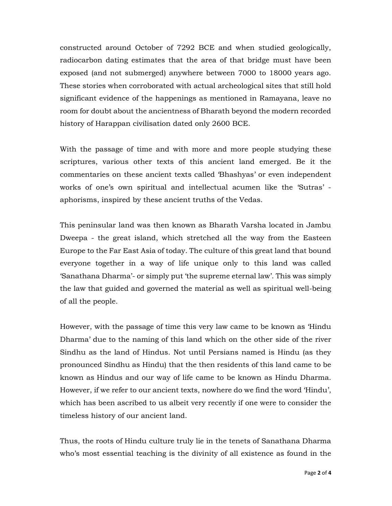constructed around October of 7292 BCE and when studied geologically, radiocarbon dating estimates that the area of that bridge must have been exposed (and not submerged) anywhere between 7000 to 18000 years ago. These stories when corroborated with actual archeological sites that still hold significant evidence of the happenings as mentioned in Ramayana, leave no room for doubt about the ancientness of Bharath beyond the modern recorded history of Harappan civilisation dated only 2600 BCE.

With the passage of time and with more and more people studying these scriptures, various other texts of this ancient land emerged. Be it the commentaries on these ancient texts called 'Bhashyas' or even independent works of one's own spiritual and intellectual acumen like the 'Sutras' aphorisms, inspired by these ancient truths of the Vedas.

This peninsular land was then known as Bharath Varsha located in Jambu Dweepa - the great island, which stretched all the way from the Easteen Europe to the Far East Asia of today. The culture of this great land that bound everyone together in a way of life unique only to this land was called 'Sanathana Dharma'- or simply put 'the supreme eternal law'. This was simply the law that guided and governed the material as well as spiritual well-being of all the people.

However, with the passage of time this very law came to be known as 'Hindu Dharma' due to the naming of this land which on the other side of the river Sindhu as the land of Hindus. Not until Persians named is Hindu (as they pronounced Sindhu as Hindu) that the then residents of this land came to be known as Hindus and our way of life came to be known as Hindu Dharma. However, if we refer to our ancient texts, nowhere do we find the word 'Hindu', which has been ascribed to us albeit very recently if one were to consider the timeless history of our ancient land.

Thus, the roots of Hindu culture truly lie in the tenets of Sanathana Dharma who's most essential teaching is the divinity of all existence as found in the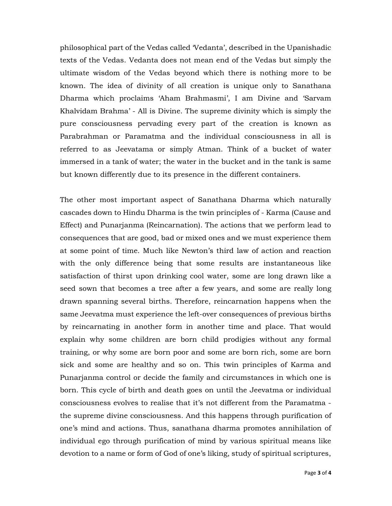philosophical part of the Vedas called 'Vedanta', described in the Upanishadic texts of the Vedas. Vedanta does not mean end of the Vedas but simply the ultimate wisdom of the Vedas beyond which there is nothing more to be known. The idea of divinity of all creation is unique only to Sanathana Dharma which proclaims 'Aham Brahmasmi', I am Divine and 'Sarvam Khalvidam Brahma' - All is Divine. The supreme divinity which is simply the pure consciousness pervading every part of the creation is known as Parabrahman or Paramatma and the individual consciousness in all is referred to as Jeevatama or simply Atman. Think of a bucket of water immersed in a tank of water; the water in the bucket and in the tank is same but known differently due to its presence in the different containers.

The other most important aspect of Sanathana Dharma which naturally cascades down to Hindu Dharma is the twin principles of - Karma (Cause and Effect) and Punarjanma (Reincarnation). The actions that we perform lead to consequences that are good, bad or mixed ones and we must experience them at some point of time. Much like Newton's third law of action and reaction with the only difference being that some results are instantaneous like satisfaction of thirst upon drinking cool water, some are long drawn like a seed sown that becomes a tree after a few years, and some are really long drawn spanning several births. Therefore, reincarnation happens when the same Jeevatma must experience the left-over consequences of previous births by reincarnating in another form in another time and place. That would explain why some children are born child prodigies without any formal training, or why some are born poor and some are born rich, some are born sick and some are healthy and so on. This twin principles of Karma and Punarjanma control or decide the family and circumstances in which one is born. This cycle of birth and death goes on until the Jeevatma or individual consciousness evolves to realise that it's not different from the Paramatma the supreme divine consciousness. And this happens through purification of one's mind and actions. Thus, sanathana dharma promotes annihilation of individual ego through purification of mind by various spiritual means like devotion to a name or form of God of one's liking, study of spiritual scriptures,